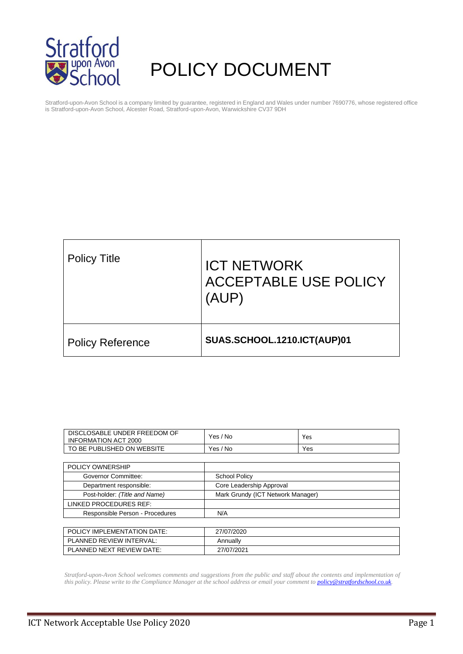

# POLICY DOCUMENT

Stratford-upon-Avon School is a company limited by guarantee, registered in England and Wales under number 7690776, whose registered office is Stratford-upon-Avon School, Alcester Road, Stratford-upon-Avon, Warwickshire CV37 9DH

| <b>Policy Title</b>     | <b>ICT NETWORK</b><br>ACCEPTABLE USE POLICY<br>(AUP) |
|-------------------------|------------------------------------------------------|
| <b>Policy Reference</b> | SUAS.SCHOOL.1210.ICT(AUP)01                          |

| DISCLOSABLE UNDER FREEDOM OF<br><b>INFORMATION ACT 2000</b> | Yes / No                          | Yes |
|-------------------------------------------------------------|-----------------------------------|-----|
| TO BE PUBLISHED ON WEBSITE                                  | Yes / No                          | Yes |
|                                                             |                                   |     |
| POLICY OWNERSHIP                                            |                                   |     |
| Governor Committee:                                         | <b>School Policy</b>              |     |
| Department responsible:                                     | Core Leadership Approval          |     |
| Post-holder: (Title and Name)                               | Mark Grundy (ICT Network Manager) |     |
| LINKED PROCEDURES REF:                                      |                                   |     |
| Responsible Person - Procedures                             | N/A                               |     |
|                                                             |                                   |     |
| POLICY IMPLEMENTATION DATE:                                 | 27/07/2020                        |     |
| PLANNED REVIEW INTERVAL:                                    | Annually                          |     |
| PLANNED NEXT REVIEW DATE:                                   | 27/07/2021                        |     |

*Stratford-upon-Avon School welcomes comments and suggestions from the public and staff about the contents and implementation of this policy. Please write to the Compliance Manager at the school address or email your comment to [policy@stratfordschool.co.uk.](mailto:policy@stratfordschool.co.uk)*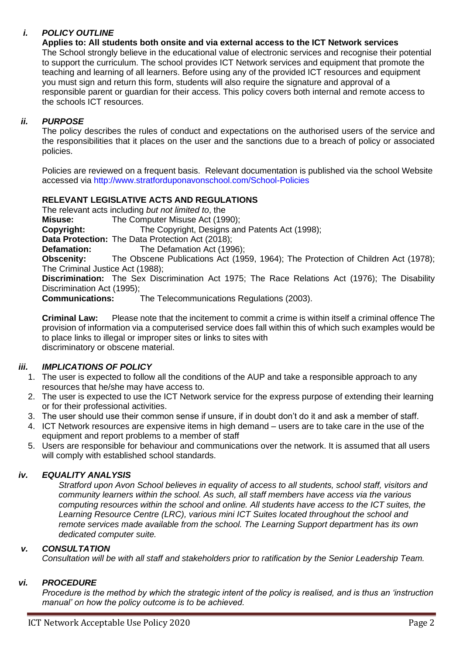# *i. POLICY OUTLINE*

**Applies to: All students both onsite and via external access to the ICT Network services** The School strongly believe in the educational value of electronic services and recognise their potential to support the curriculum. The school provides ICT Network services and equipment that promote the teaching and learning of all learners. Before using any of the provided ICT resources and equipment you must sign and return this form, students will also require the signature and approval of a responsible parent or guardian for their access. This policy covers both internal and remote access to the schools ICT resources.

# *ii. PURPOSE*

The policy describes the rules of conduct and expectations on the authorised users of the service and the responsibilities that it places on the user and the sanctions due to a breach of policy or associated policies.

Policies are reviewed on a frequent basis. Relevant documentation is published via the school Website accessed via http://www.stratforduponavonschool.com/School-Policies

# **RELEVANT LEGISLATIVE ACTS AND REGULATIONS**

The relevant acts including *but not limited to*, the **Misuse:** The Computer Misuse Act (1990); **Copyright:** The Copyright, Designs and Patents Act (1998); **Data Protection:** The Data Protection Act (2018); **Defamation:** The Defamation Act (1996); **Obscenity:** The Obscene Publications Act (1959, 1964); The Protection of Children Act (1978); The Criminal Justice Act (1988); **Discrimination:** The Sex Discrimination Act 1975; The Race Relations Act (1976); The Disability Discrimination Act (1995);

**Communications:** The Telecommunications Regulations (2003).

**Criminal Law:** Please note that the incitement to commit a crime is within itself a criminal offence The provision of information via a computerised service does fall within this of which such examples would be to place links to illegal or improper sites or links to sites with discriminatory or obscene material.

# *iii. IMPLICATIONS OF POLICY*

- 1. The user is expected to follow all the conditions of the AUP and take a responsible approach to any resources that he/she may have access to.
- 2. The user is expected to use the ICT Network service for the express purpose of extending their learning or for their professional activities.
- 3. The user should use their common sense if unsure, if in doubt don't do it and ask a member of staff.
- 4. ICT Network resources are expensive items in high demand users are to take care in the use of the equipment and report problems to a member of staff
- 5. Users are responsible for behaviour and communications over the network. It is assumed that all users will comply with established school standards.

# *iv. EQUALITY ANALYSIS*

*Stratford upon Avon School believes in equality of access to all students, school staff, visitors and community learners within the school. As such, all staff members have access via the various computing resources within the school and online. All students have access to the ICT suites, the Learning Resource Centre (LRC), various mini ICT Suites located throughout the school and remote services made available from the school. The Learning Support department has its own dedicated computer suite.*

# *v. CONSULTATION*

*Consultation will be with all staff and stakeholders prior to ratification by the Senior Leadership Team.*

# *vi. PROCEDURE*

*Procedure is the method by which the strategic intent of the policy is realised, and is thus an 'instruction manual' on how the policy outcome is to be achieved.*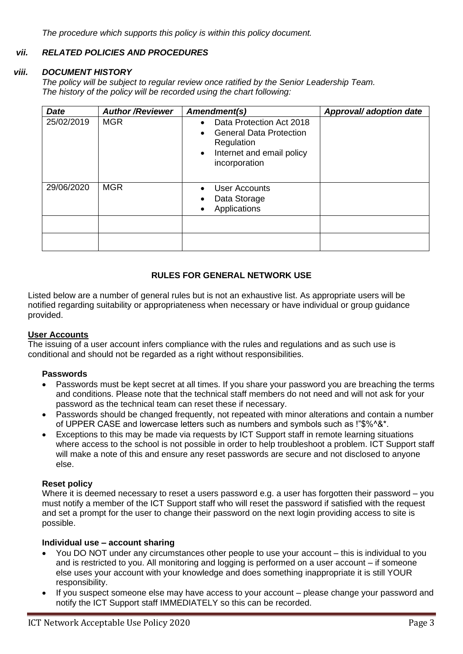*The procedure which supports this policy is within this policy document.*

# *vii. RELATED POLICIES AND PROCEDURES*

## *viii. DOCUMENT HISTORY*

*The policy will be subject to regular review once ratified by the Senior Leadership Team. The history of the policy will be recorded using the chart following:*

| <b>Date</b> | <b>Author/Reviewer</b> | Amendment(s)                                                                                                                                     | Approval/ adoption date |
|-------------|------------------------|--------------------------------------------------------------------------------------------------------------------------------------------------|-------------------------|
| 25/02/2019  | <b>MGR</b>             | Data Protection Act 2018<br><b>General Data Protection</b><br>$\bullet$<br>Regulation<br>Internet and email policy<br>$\bullet$<br>incorporation |                         |
| 29/06/2020  | <b>MGR</b>             | <b>User Accounts</b><br>Data Storage<br>Applications                                                                                             |                         |
|             |                        |                                                                                                                                                  |                         |
|             |                        |                                                                                                                                                  |                         |

# **RULES FOR GENERAL NETWORK USE**

Listed below are a number of general rules but is not an exhaustive list. As appropriate users will be notified regarding suitability or appropriateness when necessary or have individual or group guidance provided.

# **User Accounts**

The issuing of a user account infers compliance with the rules and regulations and as such use is conditional and should not be regarded as a right without responsibilities.

#### **Passwords**

- Passwords must be kept secret at all times. If you share your password you are breaching the terms and conditions. Please note that the technical staff members do not need and will not ask for your password as the technical team can reset these if necessary.
- Passwords should be changed frequently, not repeated with minor alterations and contain a number of UPPER CASE and lowercase letters such as numbers and symbols such as !"\$%^&\*.
- Exceptions to this may be made via requests by ICT Support staff in remote learning situations where access to the school is not possible in order to help troubleshoot a problem. ICT Support staff will make a note of this and ensure any reset passwords are secure and not disclosed to anyone else.

#### **Reset policy**

Where it is deemed necessary to reset a users password e.g. a user has forgotten their password – you must notify a member of the ICT Support staff who will reset the password if satisfied with the request and set a prompt for the user to change their password on the next login providing access to site is possible.

#### **Individual use – account sharing**

- You DO NOT under any circumstances other people to use your account this is individual to you and is restricted to you. All monitoring and logging is performed on a user account – if someone else uses your account with your knowledge and does something inappropriate it is still YOUR responsibility.
- If you suspect someone else may have access to your account please change your password and notify the ICT Support staff IMMEDIATELY so this can be recorded.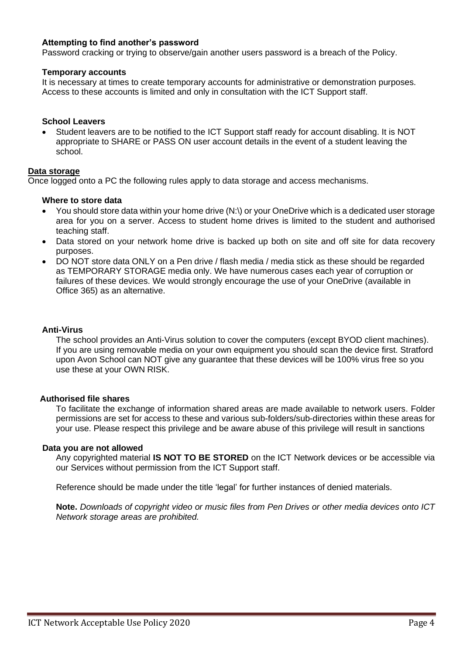## **Attempting to find another's password**

Password cracking or trying to observe/gain another users password is a breach of the Policy.

#### **Temporary accounts**

It is necessary at times to create temporary accounts for administrative or demonstration purposes. Access to these accounts is limited and only in consultation with the ICT Support staff.

#### **School Leavers**

• Student leavers are to be notified to the ICT Support staff ready for account disabling. It is NOT appropriate to SHARE or PASS ON user account details in the event of a student leaving the school.

#### **Data storage**

Once logged onto a PC the following rules apply to data storage and access mechanisms.

#### **Where to store data**

- You should store data within your home drive (N:\) or your OneDrive which is a dedicated user storage area for you on a server. Access to student home drives is limited to the student and authorised teaching staff.
- Data stored on your network home drive is backed up both on site and off site for data recovery purposes.
- DO NOT store data ONLY on a Pen drive / flash media / media stick as these should be regarded as TEMPORARY STORAGE media only. We have numerous cases each year of corruption or failures of these devices. We would strongly encourage the use of your OneDrive (available in Office 365) as an alternative.

#### **Anti-Virus**

The school provides an Anti-Virus solution to cover the computers (except BYOD client machines). If you are using removable media on your own equipment you should scan the device first. Stratford upon Avon School can NOT give any guarantee that these devices will be 100% virus free so you use these at your OWN RISK.

#### **Authorised file shares**

To facilitate the exchange of information shared areas are made available to network users. Folder permissions are set for access to these and various sub-folders/sub-directories within these areas for your use. Please respect this privilege and be aware abuse of this privilege will result in sanctions

#### **Data you are not allowed**

Any copyrighted material **IS NOT TO BE STORED** on the ICT Network devices or be accessible via our Services without permission from the ICT Support staff.

Reference should be made under the title 'legal' for further instances of denied materials.

**Note.** *Downloads of copyright video or music files from Pen Drives or other media devices onto ICT Network storage areas are prohibited.*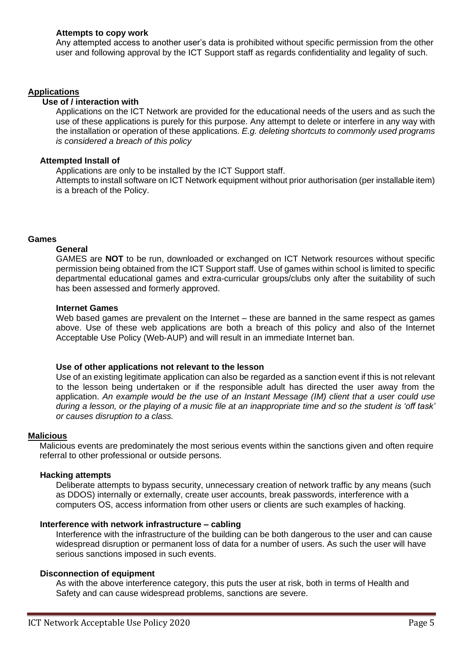# **Attempts to copy work**

Any attempted access to another user's data is prohibited without specific permission from the other user and following approval by the ICT Support staff as regards confidentiality and legality of such.

## **Applications**

# **Use of / interaction with**

Applications on the ICT Network are provided for the educational needs of the users and as such the use of these applications is purely for this purpose. Any attempt to delete or interfere in any way with the installation or operation of these applications. *E.g. deleting shortcuts to commonly used programs is considered a breach of this policy*

#### **Attempted Install of**

Applications are only to be installed by the ICT Support staff.

Attempts to install software on ICT Network equipment without prior authorisation (per installable item) is a breach of the Policy.

## **Games**

#### **General**

GAMES are **NOT** to be run, downloaded or exchanged on ICT Network resources without specific permission being obtained from the ICT Support staff. Use of games within school is limited to specific departmental educational games and extra-curricular groups/clubs only after the suitability of such has been assessed and formerly approved.

#### **Internet Games**

Web based games are prevalent on the Internet – these are banned in the same respect as games above. Use of these web applications are both a breach of this policy and also of the Internet Acceptable Use Policy (Web-AUP) and will result in an immediate Internet ban.

#### **Use of other applications not relevant to the lesson**

Use of an existing legitimate application can also be regarded as a sanction event if this is not relevant to the lesson being undertaken or if the responsible adult has directed the user away from the application. *An example would be the use of an Instant Message (IM) client that a user could use during a lesson, or the playing of a music file at an inappropriate time and so the student is 'off task' or causes disruption to a class.*

#### **Malicious**

Malicious events are predominately the most serious events within the sanctions given and often require referral to other professional or outside persons.

#### **Hacking attempts**

Deliberate attempts to bypass security, unnecessary creation of network traffic by any means (such as DDOS) internally or externally, create user accounts, break passwords, interference with a computers OS, access information from other users or clients are such examples of hacking.

#### **Interference with network infrastructure – cabling**

Interference with the infrastructure of the building can be both dangerous to the user and can cause widespread disruption or permanent loss of data for a number of users. As such the user will have serious sanctions imposed in such events.

#### **Disconnection of equipment**

As with the above interference category, this puts the user at risk, both in terms of Health and Safety and can cause widespread problems, sanctions are severe.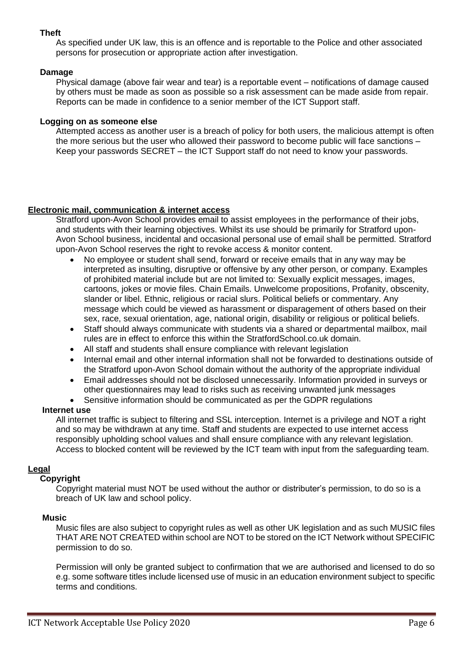# **Theft**

As specified under UK law, this is an offence and is reportable to the Police and other associated persons for prosecution or appropriate action after investigation.

## **Damage**

Physical damage (above fair wear and tear) is a reportable event – notifications of damage caused by others must be made as soon as possible so a risk assessment can be made aside from repair. Reports can be made in confidence to a senior member of the ICT Support staff.

## **Logging on as someone else**

Attempted access as another user is a breach of policy for both users, the malicious attempt is often the more serious but the user who allowed their password to become public will face sanctions – Keep your passwords SECRET – the ICT Support staff do not need to know your passwords.

# **Electronic mail, communication & internet access**

Stratford upon-Avon School provides email to assist employees in the performance of their jobs, and students with their learning objectives. Whilst its use should be primarily for Stratford upon-Avon School business, incidental and occasional personal use of email shall be permitted. Stratford upon-Avon School reserves the right to revoke access & monitor content.

- No employee or student shall send, forward or receive emails that in any way may be interpreted as insulting, disruptive or offensive by any other person, or company. Examples of prohibited material include but are not limited to: Sexually explicit messages, images, cartoons, jokes or movie files. Chain Emails. Unwelcome propositions, Profanity, obscenity, slander or libel. Ethnic, religious or racial slurs. Political beliefs or commentary. Any message which could be viewed as harassment or disparagement of others based on their sex, race, sexual orientation, age, national origin, disability or religious or political beliefs.
- Staff should always communicate with students via a shared or departmental mailbox, mail rules are in effect to enforce this within the StratfordSchool.co.uk domain.
- All staff and students shall ensure compliance with relevant legislation
- Internal email and other internal information shall not be forwarded to destinations outside of the Stratford upon-Avon School domain without the authority of the appropriate individual
- Email addresses should not be disclosed unnecessarily. Information provided in surveys or other questionnaires may lead to risks such as receiving unwanted junk messages
- Sensitive information should be communicated as per the GDPR regulations

# **Internet use**

All internet traffic is subject to filtering and SSL interception. Internet is a privilege and NOT a right and so may be withdrawn at any time. Staff and students are expected to use internet access responsibly upholding school values and shall ensure compliance with any relevant legislation. Access to blocked content will be reviewed by the ICT team with input from the safeguarding team.

# **Legal**

# **Copyright**

Copyright material must NOT be used without the author or distributer's permission, to do so is a breach of UK law and school policy.

#### **Music**

Music files are also subject to copyright rules as well as other UK legislation and as such MUSIC files THAT ARE NOT CREATED within school are NOT to be stored on the ICT Network without SPECIFIC permission to do so.

Permission will only be granted subject to confirmation that we are authorised and licensed to do so e.g. some software titles include licensed use of music in an education environment subject to specific terms and conditions.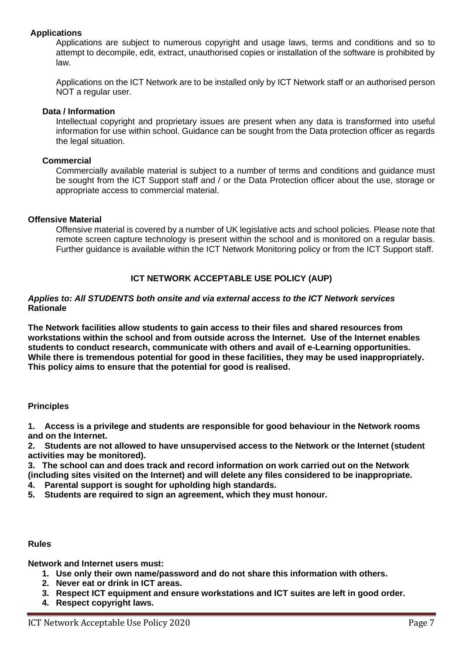# **Applications**

Applications are subject to numerous copyright and usage laws, terms and conditions and so to attempt to decompile, edit, extract, unauthorised copies or installation of the software is prohibited by law.

Applications on the ICT Network are to be installed only by ICT Network staff or an authorised person NOT a regular user.

## **Data / Information**

Intellectual copyright and proprietary issues are present when any data is transformed into useful information for use within school. Guidance can be sought from the Data protection officer as regards the legal situation.

#### **Commercial**

Commercially available material is subject to a number of terms and conditions and guidance must be sought from the ICT Support staff and / or the Data Protection officer about the use, storage or appropriate access to commercial material.

## **Offensive Material**

Offensive material is covered by a number of UK legislative acts and school policies. Please note that remote screen capture technology is present within the school and is monitored on a regular basis. Further guidance is available within the ICT Network Monitoring policy or from the ICT Support staff.

# **ICT NETWORK ACCEPTABLE USE POLICY (AUP)**

#### *Applies to: All STUDENTS both onsite and via external access to the ICT Network services* **Rationale**

**The Network facilities allow students to gain access to their files and shared resources from workstations within the school and from outside across the Internet. Use of the Internet enables students to conduct research, communicate with others and avail of e-Learning opportunities. While there is tremendous potential for good in these facilities, they may be used inappropriately. This policy aims to ensure that the potential for good is realised.**

# **Principles**

**1. Access is a privilege and students are responsible for good behaviour in the Network rooms and on the Internet.**

**2. Students are not allowed to have unsupervised access to the Network or the Internet (student activities may be monitored).**

**3. The school can and does track and record information on work carried out on the Network (including sites visited on the Internet) and will delete any files considered to be inappropriate.**

- **4. Parental support is sought for upholding high standards.**
- **5. Students are required to sign an agreement, which they must honour.**

#### **Rules**

**Network and Internet users must:**

- **1. Use only their own name/password and do not share this information with others.**
- **2. Never eat or drink in ICT areas.**
- **3. Respect ICT equipment and ensure workstations and ICT suites are left in good order.**
- **4. Respect copyright laws.**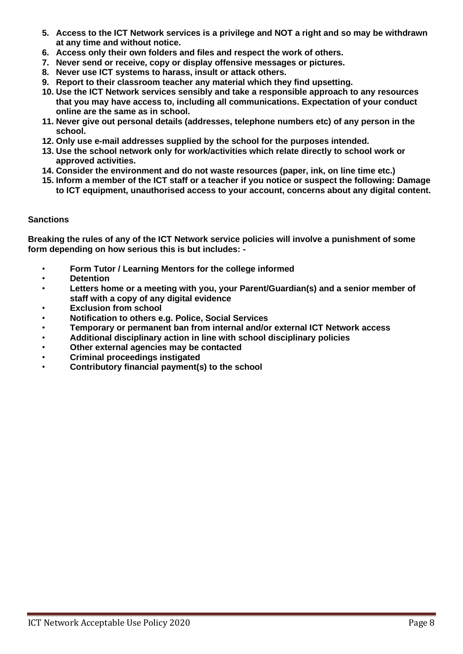- **5. Access to the ICT Network services is a privilege and NOT a right and so may be withdrawn at any time and without notice.**
- **6. Access only their own folders and files and respect the work of others.**
- **7. Never send or receive, copy or display offensive messages or pictures.**
- **8. Never use ICT systems to harass, insult or attack others.**
- **9. Report to their classroom teacher any material which they find upsetting.**
- **10. Use the ICT Network services sensibly and take a responsible approach to any resources that you may have access to, including all communications. Expectation of your conduct online are the same as in school.**
- **11. Never give out personal details (addresses, telephone numbers etc) of any person in the school.**
- **12. Only use e-mail addresses supplied by the school for the purposes intended.**
- **13. Use the school network only for work/activities which relate directly to school work or approved activities.**
- **14. Consider the environment and do not waste resources (paper, ink, on line time etc.)**
- **15. Inform a member of the ICT staff or a teacher if you notice or suspect the following: Damage to ICT equipment, unauthorised access to your account, concerns about any digital content.**

# **Sanctions**

**Breaking the rules of any of the ICT Network service policies will involve a punishment of some form depending on how serious this is but includes: -**

- **Form Tutor / Learning Mentors for the college informed**
- **Detention**
- **Letters home or a meeting with you, your Parent/Guardian(s) and a senior member of staff with a copy of any digital evidence**
- **Exclusion from school**
- **Notification to others e.g. Police, Social Services**
- **Temporary or permanent ban from internal and/or external ICT Network access**
- **Additional disciplinary action in line with school disciplinary policies**
- **Other external agencies may be contacted**
- **Criminal proceedings instigated**
- **Contributory financial payment(s) to the school**